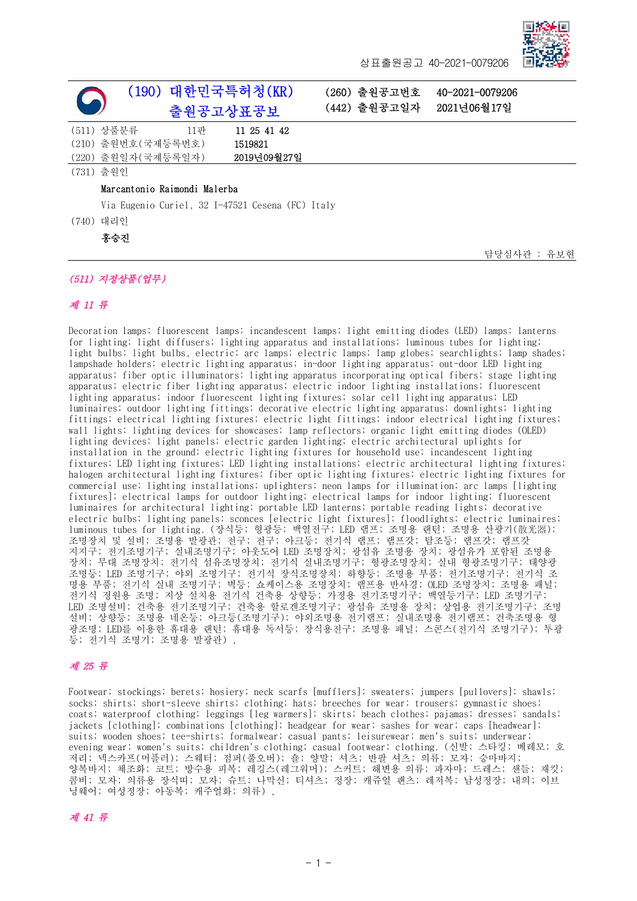

담당심사관 : 유보현

상표출원공고 40-2021-0079206

| (190) 대한민국특허청(KR)<br>출원공고상표공보                    |             |  | (260) 출원공고번호<br>(442) 출원공고일자 | 40-2021-0079206<br>2021년06월17일 |
|--------------------------------------------------|-------------|--|------------------------------|--------------------------------|
| (511) 상품분류<br>11판                                | 11 25 41 42 |  |                              |                                |
| (210) 출원번호 (국제등록번호)                              | 1519821     |  |                              |                                |
| (220) 출원일자 (국제등록일자)                              | 2019년09월27일 |  |                              |                                |
| (731) 출원인                                        |             |  |                              |                                |
| Marcantonio Raimondi Malerba                     |             |  |                              |                                |
| Via Eugenio Curiel, 32 I-47521 Cesena (FC) Italy |             |  |                              |                                |
| (740) 대리인                                        |             |  |                              |                                |
| 홍승진                                              |             |  |                              |                                |

## (511) 지정상품(업무)

#### 제 11 류

Decoration lamps; fluorescent lamps; incandescent lamps; light emitting diodes (LED) lamps; lanterns for lighting; light diffusers; lighting apparatus and installations; luminous tubes for lighting; light bulbs; light bulbs, electric; arc lamps; electric lamps; lamp globes; searchlights; lamp shades; lampshade holders; electric lighting apparatus; in-door lighting apparatus; out-door LED lighting apparatus; fiber optic illuminators; lighting apparatus incorporating optical fibers; stage lighting apparatus; electric fiber lighting apparatus; electric indoor lighting installations; fluorescent lighting apparatus; indoor fluorescent lighting fixtures; solar cell lighting apparatus; LED luminaires; outdoor lighting fittings; decorative electric lighting apparatus; downlights; lighting fittings; electrical lighting fixtures; electric light fittings; indoor electrical lighting fixtures; wall lights; lighting devices for showcases; lamp reflectors; organic light emitting diodes (OLED) lighting devices; light panels; electric garden lighting; electric architectural uplights for installation in the ground; electric lighting fixtures for household use; incandescent lighting fixtures; LED lighting fixtures; LED lighting installations; electric architectural lighting fixtures; halogen architectural lighting fixtures; fiber optic lighting fixtures; electric lighting fixtures for commercial use; lighting installations; uplighters; neon lamps for illumination; arc lamps [lighting fixtures]; electrical lamps for outdoor lighting; electrical lamps for indoor lighting; fluorescent luminaires for architectural lighting; portable LED lanterns; portable reading lights; decorative electric bulbs; lighting panels; sconces [electric light fixtures]; floodlights; electric luminaires; luminous tubes for lighting. (장식등; 형광등; 백열전구; LED 램프; 조명용 랜턴; 조명용 산광기(散光器); 조명장치 및 설비; 조명용 발광관; 전구; 전구; 아크등; 전기식 램프; 램프갓; 탐조등; 램프갓; 램프갓 지지구; 전기조명기구; 실내조명기구; 아웃도어 LED 조명장치; 광섬유 조명용 장치; 광섬유가 포함된 조명용 장치; 무대 조명장치; 전기식 섬유조명장치; 전기식 실내조명기구; 형광조명장치; 실내 형광조명기구; 태양광 조명등; LED 조명기구; 야외 조명기구; 전기식 장식조명장치; 하향등; 조명용 부품; 전기조명기구; 전기식 조 명용 부품; 전기식 실내 조명기구; 벽등; 쇼케이스용 조명장치; 램프용 반사경; OLED 조명장치; 조명용 패널; 전기식 정원용 조명; 지상 설치용 전기식 건축용 상향등; 가정용 전기조명기구; 백열등기구; LED 조명기구; LED 조명설비; 건축용 전기조명기구; 건축용 할로겐조명기구; 광섬유 조명용 장치; 상업용 전기조명기구; 조명 설비; 상향등; 조명용 네온등; 아크등(조명기구); 야외조명용 전기램프; 실내조명용 전기램프; 건축조명용 형 광조명; LED를 이용한 휴대용 랜턴; 휴대용 독서등; 장식용전구; 조명용 패널; 스콘스(전기식 조명기구); 투광 등; 전기식 조명기; 조명용 발광관) ,

### 제 25 류

Footwear; stockings; berets; hosiery; neck scarfs [mufflers]; sweaters; jumpers [pullovers]; shawls; socks; shirts; short-sleeve shirts; clothing; hats; breeches for wear; trousers; gymnastic shoes; coats; waterproof clothing; leggings [leg warmers]; skirts; beach clothes; pajamas; dresses; sandals; jackets [clothing]; combinations [clothing]; headgear for wear; sashes for wear; caps [headwear]; suits; wooden shoes; tee-shirts; formalwear; casual pants; leisurewear; men's suits; underwear; evening wear; women's suits; children's clothing; casual footwear; clothing. (신발; 스타킹; 베레모; 호 저리; 넥스카프(머플러); 스웨터; 점퍼(풀오버); 숄; 양말; 셔츠; 반팔 셔츠; 의류; 모자; 승마바지; 양복바지; 체조화; 코트; 방수용 피복; 레깅스(레그워머); 스커트; 해변용 의류; 파자마; 드레스; 샌들; 재킷; 콤비; 모자; 의류용 장식띠; 모자; 슈트; 나막신; 티셔츠; 정장; 캐쥬얼 팬츠; 레저복; 남성정장; 내의; 이브 닝웨어; 여성정장; 아동복; 캐주얼화; 의류) ,

#### 제 41 류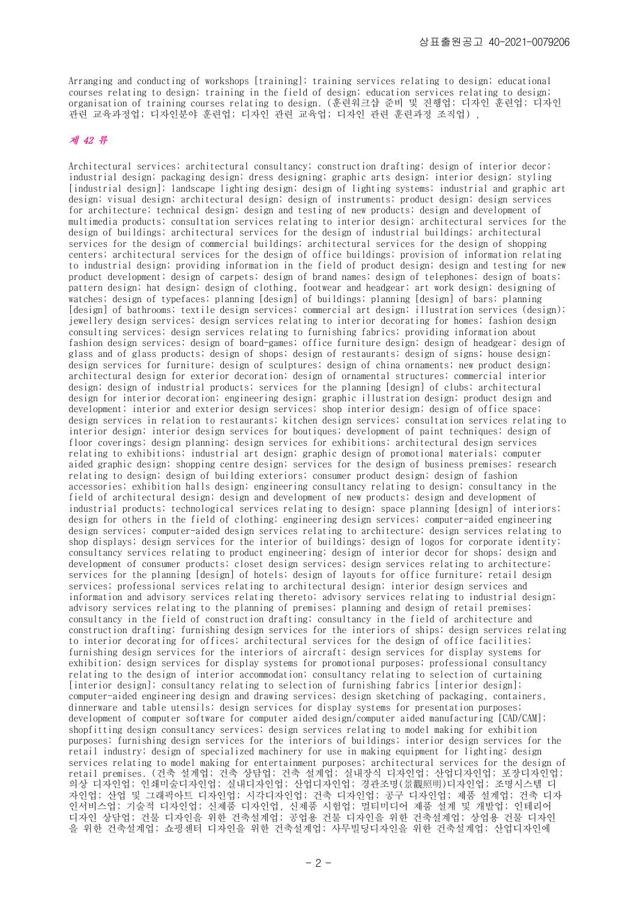Arranging and conducting of workshops [training]; training services relating to design; educational courses relating to design; training in the field of design; education services relating to design; organisation of training courses relating to design. (훈련워크샵 준비 및 진행업; 디자인 훈련업; 디자인 관련 교육과정업; 디자인분야 훈련업; 디자인 관련 교육업; 디자인 관련 훈련과정 조직업) ,

#### 제 42 류

Architectural services; architectural consultancy; construction drafting; design of interior decor; industrial design; packaging design; dress designing; graphic arts design; interior design; styling [industrial design]; landscape lighting design; design of lighting systems; industrial and graphic art design; visual design; architectural design; design of instruments; product design; design services for architecture; technical design; design and testing of new products; design and development of multimedia products; consultation services relating to interior design; architectural services for the design of buildings; architectural services for the design of industrial buildings; architectural services for the design of commercial buildings; architectural services for the design of shopping centers; architectural services for the design of office buildings; provision of information relating to industrial design; providing information in the field of product design; design and testing for new product development; design of carpets; design of brand names; design of telephones; design of boats; pattern design; hat design; design of clothing, footwear and headgear; art work design; designing of watches; design of typefaces; planning [design] of buildings; planning [design] of bars; planning [design] of bathrooms; textile design services; commercial art design; illustration services (design); jewellery design services; design services relating to interior decorating for homes; fashion design consulting services; design services relating to furnishing fabrics; providing information about fashion design services; design of board-games; office furniture design; design of headgear; design of glass and of glass products; design of shops; design of restaurants; design of signs; house design; design services for furniture; design of sculptures; design of china ornaments; new product design; architectural design for exterior decoration; design of ornamental structures; commercial interior design; design of industrial products; services for the planning [design] of clubs; architectural design for interior decoration; engineering design; graphic illustration design; product design and development; interior and exterior design services; shop interior design; design of office space; design services in relation to restaurants; kitchen design services; consultation services relating to interior design; interior design services for boutiques; development of paint techniques; design of floor coverings; design planning; design services for exhibitions; architectural design services relating to exhibitions; industrial art design; graphic design of promotional materials; computer aided graphic design; shopping centre design; services for the design of business premises; research relating to design; design of building exteriors; consumer product design; design of fashion accessories; exhibition halls design; engineering consultancy relating to design; consultancy in the field of architectural design; design and development of new products; design and development of industrial products; technological services relating to design; space planning [design] of interiors; design for others in the field of clothing; engineering design services; computer-aided engineering design services; computer-aided design services relating to architecture; design services relating to shop displays; design services for the interior of buildings; design of logos for corporate identity; consultancy services relating to product engineering; design of interior decor for shops; design and development of consumer products; closet design services; design services relating to architecture; services for the planning [design] of hotels; design of layouts for office furniture; retail design services; professional services relating to architectural design; interior design services and information and advisory services relating thereto; advisory services relating to industrial design; advisory services relating to the planning of premises; planning and design of retail premises; consultancy in the field of construction drafting; consultancy in the field of architecture and construction drafting; furnishing design services for the interiors of ships; design services relating to interior decorating for offices; architectural services for the design of office facilities; furnishing design services for the interiors of aircraft; design services for display systems for exhibition; design services for display systems for promotional purposes; professional consultancy relating to the design of interior accommodation; consultancy relating to selection of curtaining [interior design]; consultancy relating to selection of furnishing fabrics [interior design]; computer-aided engineering design and drawing services; design sketching of packaging, containers, dinnerware and table utensils; design services for display systems for presentation purposes; development of computer software for computer aided design/computer aided manufacturing [CAD/CAM]; shopfitting design consultancy services; design services relating to model making for exhibition purposes; furnishing design services for the interiors of buildings; interior design services for the retail industry; design of specialized machinery for use in making equipment for lighting; design services relating to model making for entertainment purposes; architectural services for the design of retail premises. (건축 설계업; 건축 상담업; 건축 설계업; 실내장식 디자인업; 산업디자인업; 포장디자인업; 의상 디자인업; 인쇄미술디자인업; 실내디자인업; 산업디자인업; 경관조명(景觀照明)디자인업; 조명시스템 디 자인업; 산업 및 그래픽아트 디자인업; 시각디자인업; 건축 디자인업; 공구 디자인업; 제품 설계업; 건축 디자 인서비스업; 기술적 디자인업; 신제품 디자인업, 신제품 시험업; 멀티미디어 제품 설계 및 개발업; 인테리어 디자인 상담업; 건물 디자인을 위한 건축설계업; 공업용 건물 디자인을 위한 건축설계업; 상업용 건물 디자인 을 위한 건축설계업; 쇼핑센터 디자인을 위한 건축설계업; 사무빌딩디자인을 위한 건축설계업; 산업디자인에